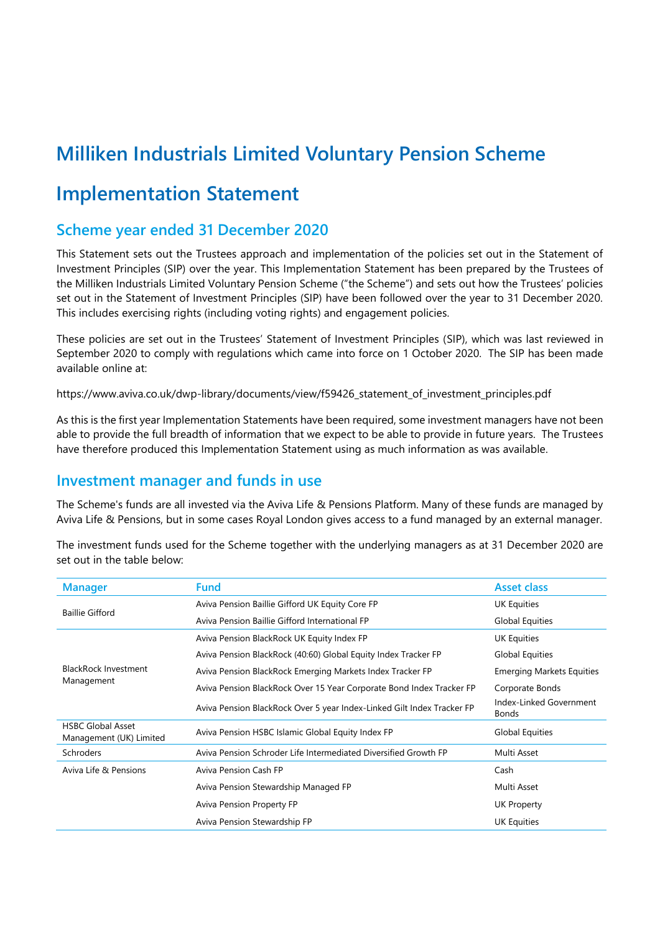# **Milliken Industrials Limited Voluntary Pension Scheme**

# **Implementation Statement**

## **Scheme year ended 31 December 2020**

This Statement sets out the Trustees approach and implementation of the policies set out in the Statement of Investment Principles (SIP) over the year. This Implementation Statement has been prepared by the Trustees of the Milliken Industrials Limited Voluntary Pension Scheme ("the Scheme") and sets out how the Trustees' policies set out in the Statement of Investment Principles (SIP) have been followed over the year to 31 December 2020. This includes exercising rights (including voting rights) and engagement policies.

These policies are set out in the Trustees' Statement of Investment Principles (SIP), which was last reviewed in September 2020 to comply with regulations which came into force on 1 October 2020. The SIP has been made available online at:

https://www.aviva.co.uk/dwp-library/documents/view/f59426\_statement\_of\_investment\_principles.pdf

As this is the first year Implementation Statements have been required, some investment managers have not been able to provide the full breadth of information that we expect to be able to provide in future years. The Trustees have therefore produced this Implementation Statement using as much information as was available.

### **Investment manager and funds in use**

The Scheme's funds are all invested via the Aviva Life & Pensions Platform. Many of these funds are managed by Aviva Life & Pensions, but in some cases Royal London gives access to a fund managed by an external manager.

The investment funds used for the Scheme together with the underlying managers as at 31 December 2020 are set out in the table below:

| <b>Manager</b>                                      | <b>Fund</b>                                                            | <b>Asset class</b>                      |
|-----------------------------------------------------|------------------------------------------------------------------------|-----------------------------------------|
| <b>Baillie Gifford</b>                              | Aviva Pension Baillie Gifford UK Equity Core FP                        | UK Equities                             |
|                                                     | Aviva Pension Baillie Gifford International FP                         | <b>Global Equities</b>                  |
|                                                     | Aviva Pension BlackRock UK Equity Index FP                             | UK Equities                             |
|                                                     | Aviva Pension BlackRock (40:60) Global Equity Index Tracker FP         | <b>Global Equities</b>                  |
| <b>BlackRock Investment</b>                         | Aviva Pension BlackRock Emerging Markets Index Tracker FP              | <b>Emerging Markets Equities</b>        |
| Management                                          | Aviva Pension BlackRock Over 15 Year Corporate Bond Index Tracker FP   | Corporate Bonds                         |
|                                                     | Aviva Pension BlackRock Over 5 year Index-Linked Gilt Index Tracker FP | Index-Linked Government<br><b>Bonds</b> |
| <b>HSBC Global Asset</b><br>Management (UK) Limited | Aviva Pension HSBC Islamic Global Equity Index FP                      | <b>Global Equities</b>                  |
| <b>Schroders</b>                                    | Aviva Pension Schroder Life Intermediated Diversified Growth FP        | Multi Asset                             |
| Aviva Life & Pensions                               | Aviva Pension Cash FP                                                  | Cash                                    |
|                                                     | Aviva Pension Stewardship Managed FP                                   | Multi Asset                             |
|                                                     | Aviva Pension Property FP                                              | <b>UK Property</b>                      |
|                                                     | Aviva Pension Stewardship FP                                           | UK Equities                             |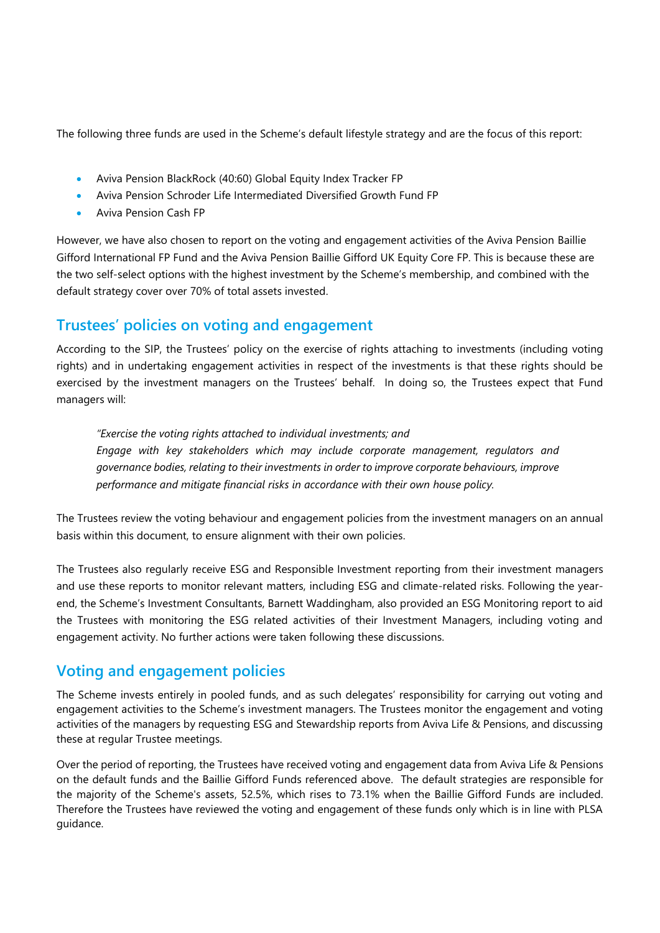The following three funds are used in the Scheme's default lifestyle strategy and are the focus of this report:

- Aviva Pension BlackRock (40:60) Global Equity Index Tracker FP
- Aviva Pension Schroder Life Intermediated Diversified Growth Fund FP
- Aviva Pension Cash FP

However, we have also chosen to report on the voting and engagement activities of the Aviva Pension Baillie Gifford International FP Fund and the Aviva Pension Baillie Gifford UK Equity Core FP. This is because these are the two self-select options with the highest investment by the Scheme's membership, and combined with the default strategy cover over 70% of total assets invested.

## **Trustees' policies on voting and engagement**

According to the SIP, the Trustees' policy on the exercise of rights attaching to investments (including voting rights) and in undertaking engagement activities in respect of the investments is that these rights should be exercised by the investment managers on the Trustees' behalf. In doing so, the Trustees expect that Fund managers will:

*"Exercise the voting rights attached to individual investments; and Engage with key stakeholders which may include corporate management, regulators and governance bodies, relating to their investments in order to improve corporate behaviours, improve performance and mitigate financial risks in accordance with their own house policy.*

The Trustees review the voting behaviour and engagement policies from the investment managers on an annual basis within this document, to ensure alignment with their own policies.

The Trustees also regularly receive ESG and Responsible Investment reporting from their investment managers and use these reports to monitor relevant matters, including ESG and climate-related risks. Following the yearend, the Scheme's Investment Consultants, Barnett Waddingham, also provided an ESG Monitoring report to aid the Trustees with monitoring the ESG related activities of their Investment Managers, including voting and engagement activity. No further actions were taken following these discussions.

## **Voting and engagement policies**

The Scheme invests entirely in pooled funds, and as such delegates' responsibility for carrying out voting and engagement activities to the Scheme's investment managers. The Trustees monitor the engagement and voting activities of the managers by requesting ESG and Stewardship reports from Aviva Life & Pensions, and discussing these at regular Trustee meetings.

Over the period of reporting, the Trustees have received voting and engagement data from Aviva Life & Pensions on the default funds and the Baillie Gifford Funds referenced above. The default strategies are responsible for the majority of the Scheme's assets, 52.5%, which rises to 73.1% when the Baillie Gifford Funds are included. Therefore the Trustees have reviewed the voting and engagement of these funds only which is in line with PLSA guidance.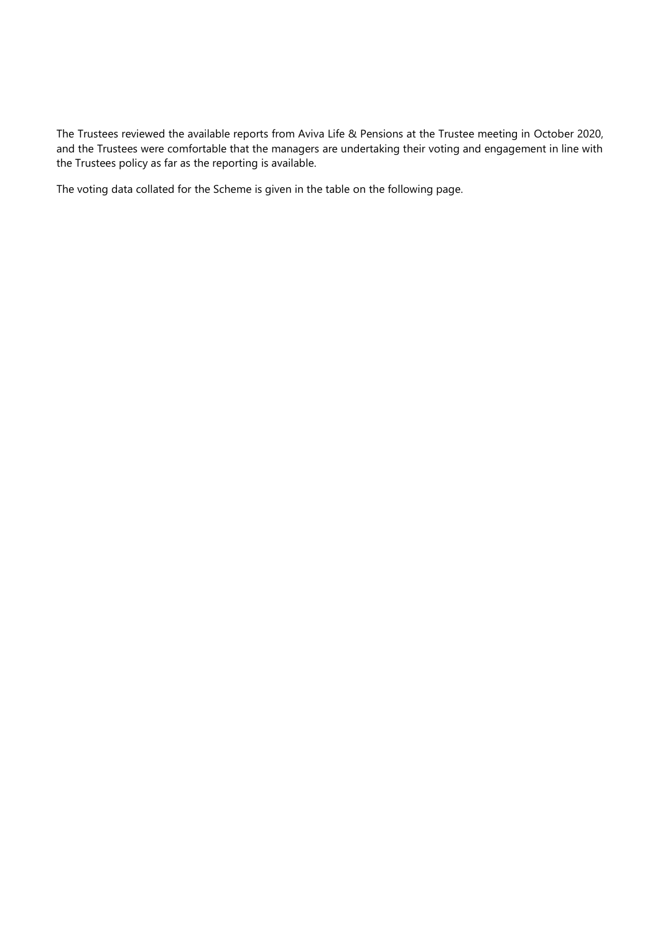The Trustees reviewed the available reports from Aviva Life & Pensions at the Trustee meeting in October 2020, and the Trustees were comfortable that the managers are undertaking their voting and engagement in line with the Trustees policy as far as the reporting is available.

The voting data collated for the Scheme is given in the table on the following page.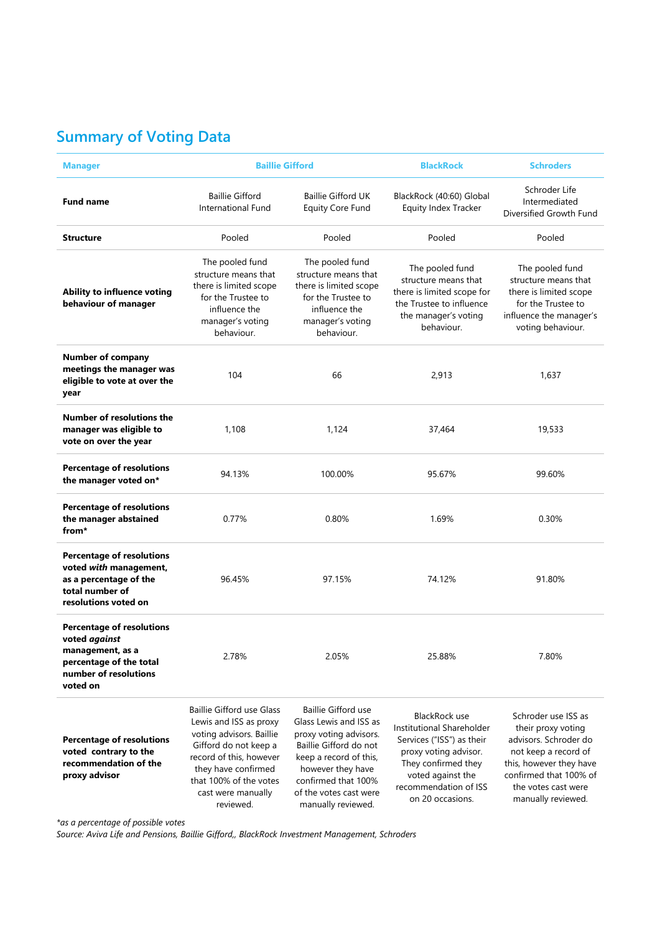# **Summary of Voting Data**

| <b>Manager</b>                                                                                                                        |                                                                                                                                                                                                                         | <b>Baillie Gifford</b>                                                                                                                                                                                                  |                                                                                                                                                                                                  | <b>Schroders</b>                                                                                                                                                                             |
|---------------------------------------------------------------------------------------------------------------------------------------|-------------------------------------------------------------------------------------------------------------------------------------------------------------------------------------------------------------------------|-------------------------------------------------------------------------------------------------------------------------------------------------------------------------------------------------------------------------|--------------------------------------------------------------------------------------------------------------------------------------------------------------------------------------------------|----------------------------------------------------------------------------------------------------------------------------------------------------------------------------------------------|
| <b>Fund name</b>                                                                                                                      | <b>Baillie Gifford</b><br>International Fund                                                                                                                                                                            | <b>Baillie Gifford UK</b><br><b>Equity Core Fund</b>                                                                                                                                                                    | BlackRock (40:60) Global<br>Equity Index Tracker                                                                                                                                                 | Schroder Life<br>Intermediated<br>Diversified Growth Fund                                                                                                                                    |
| <b>Structure</b>                                                                                                                      | Pooled                                                                                                                                                                                                                  | Pooled                                                                                                                                                                                                                  | Pooled                                                                                                                                                                                           | Pooled                                                                                                                                                                                       |
| Ability to influence voting<br>behaviour of manager                                                                                   | The pooled fund<br>structure means that<br>there is limited scope<br>for the Trustee to<br>influence the<br>manager's voting<br>behaviour.                                                                              | The pooled fund<br>structure means that<br>there is limited scope<br>for the Trustee to<br>influence the<br>manager's voting<br>behaviour.                                                                              | The pooled fund<br>structure means that<br>there is limited scope for<br>the Trustee to influence<br>the manager's voting<br>behaviour.                                                          | The pooled fund<br>structure means that<br>there is limited scope<br>for the Trustee to<br>influence the manager's<br>voting behaviour.                                                      |
| <b>Number of company</b><br>meetings the manager was<br>eligible to vote at over the<br>year                                          | 104                                                                                                                                                                                                                     | 66                                                                                                                                                                                                                      | 2,913                                                                                                                                                                                            | 1,637                                                                                                                                                                                        |
| Number of resolutions the<br>manager was eligible to<br>vote on over the year                                                         | 1,108                                                                                                                                                                                                                   | 1,124                                                                                                                                                                                                                   | 37,464                                                                                                                                                                                           | 19,533                                                                                                                                                                                       |
| <b>Percentage of resolutions</b><br>the manager voted on*                                                                             | 94.13%                                                                                                                                                                                                                  | 100.00%                                                                                                                                                                                                                 | 95.67%                                                                                                                                                                                           | 99.60%                                                                                                                                                                                       |
| <b>Percentage of resolutions</b><br>the manager abstained<br>from*                                                                    | 0.77%                                                                                                                                                                                                                   | 0.80%                                                                                                                                                                                                                   | 1.69%                                                                                                                                                                                            | 0.30%                                                                                                                                                                                        |
| <b>Percentage of resolutions</b><br>voted with management,<br>as a percentage of the<br>total number of<br>resolutions voted on       | 96.45%                                                                                                                                                                                                                  | 97.15%                                                                                                                                                                                                                  | 74.12%                                                                                                                                                                                           | 91.80%                                                                                                                                                                                       |
| <b>Percentage of resolutions</b><br>voted against<br>management, as a<br>percentage of the total<br>number of resolutions<br>voted on | 2.78%                                                                                                                                                                                                                   | 2.05%                                                                                                                                                                                                                   | 25.88%                                                                                                                                                                                           | 7.80%                                                                                                                                                                                        |
| <b>Percentage of resolutions</b><br>voted contrary to the<br>recommendation of the<br>proxy advisor                                   | Baillie Gifford use Glass<br>Lewis and ISS as proxy<br>voting advisors. Baillie<br>Gifford do not keep a<br>record of this, however<br>they have confirmed<br>that 100% of the votes<br>cast were manually<br>reviewed. | Baillie Gifford use<br>Glass Lewis and ISS as<br>proxy voting advisors.<br>Baillie Gifford do not<br>keep a record of this,<br>however they have<br>confirmed that 100%<br>of the votes cast were<br>manually reviewed. | <b>BlackRock use</b><br>Institutional Shareholder<br>Services ("ISS") as their<br>proxy voting advisor.<br>They confirmed they<br>voted against the<br>recommendation of ISS<br>on 20 occasions. | Schroder use ISS as<br>their proxy voting<br>advisors. Schroder do<br>not keep a record of<br>this, however they have<br>confirmed that 100% of<br>the votes cast were<br>manually reviewed. |

*\*as a percentage of possible votes*

*Source: Aviva Life and Pensions, Baillie Gifford,, BlackRock Investment Management, Schroders*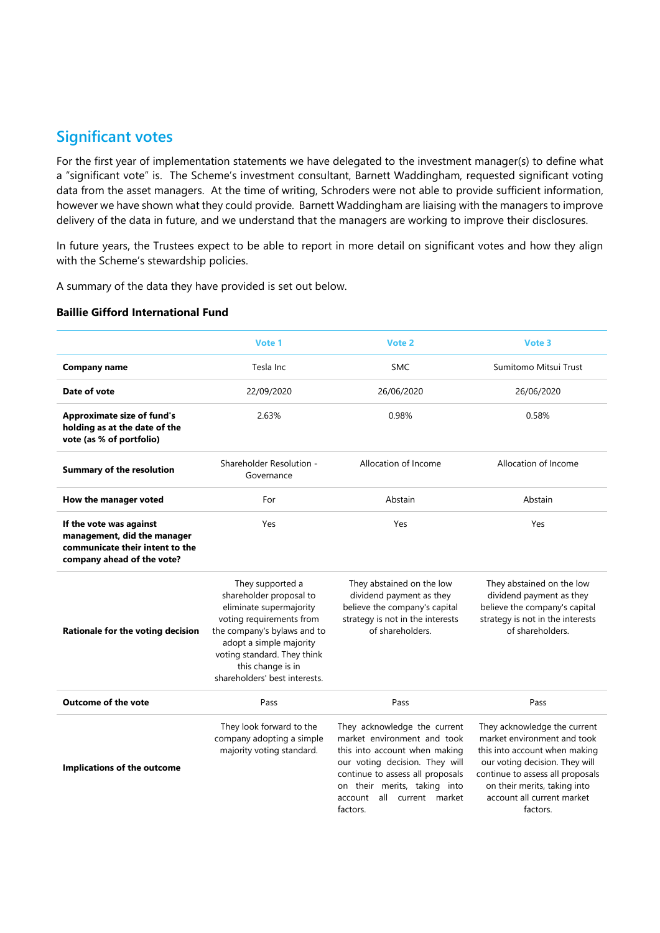## **Significant votes**

For the first year of implementation statements we have delegated to the investment manager(s) to define what a "significant vote" is. The Scheme's investment consultant, Barnett Waddingham, requested significant voting data from the asset managers. At the time of writing, Schroders were not able to provide sufficient information, however we have shown what they could provide. Barnett Waddingham are liaising with the managers to improve delivery of the data in future, and we understand that the managers are working to improve their disclosures.

In future years, the Trustees expect to be able to report in more detail on significant votes and how they align with the Scheme's stewardship policies.

A summary of the data they have provided is set out below.

#### **Baillie Gifford International Fund**

|                                                                                                                         | Vote 1                                                                                                                                                                                                                                            | Vote 2                                                                                                                                                                                                                                          | Vote 3                                                                                                                                                                                                                                       |
|-------------------------------------------------------------------------------------------------------------------------|---------------------------------------------------------------------------------------------------------------------------------------------------------------------------------------------------------------------------------------------------|-------------------------------------------------------------------------------------------------------------------------------------------------------------------------------------------------------------------------------------------------|----------------------------------------------------------------------------------------------------------------------------------------------------------------------------------------------------------------------------------------------|
| <b>Company name</b>                                                                                                     | Tesla Inc                                                                                                                                                                                                                                         | <b>SMC</b>                                                                                                                                                                                                                                      | Sumitomo Mitsui Trust                                                                                                                                                                                                                        |
| Date of vote                                                                                                            | 22/09/2020                                                                                                                                                                                                                                        | 26/06/2020                                                                                                                                                                                                                                      | 26/06/2020                                                                                                                                                                                                                                   |
| <b>Approximate size of fund's</b><br>holding as at the date of the<br>vote (as % of portfolio)                          | 2.63%                                                                                                                                                                                                                                             | 0.98%                                                                                                                                                                                                                                           | 0.58%                                                                                                                                                                                                                                        |
| <b>Summary of the resolution</b>                                                                                        | Shareholder Resolution -<br>Governance                                                                                                                                                                                                            | Allocation of Income                                                                                                                                                                                                                            | Allocation of Income                                                                                                                                                                                                                         |
| How the manager voted                                                                                                   | For                                                                                                                                                                                                                                               | Abstain                                                                                                                                                                                                                                         | Abstain                                                                                                                                                                                                                                      |
| If the vote was against<br>management, did the manager<br>communicate their intent to the<br>company ahead of the vote? | Yes                                                                                                                                                                                                                                               | Yes                                                                                                                                                                                                                                             | Yes                                                                                                                                                                                                                                          |
| Rationale for the voting decision                                                                                       | They supported a<br>shareholder proposal to<br>eliminate supermajority<br>voting requirements from<br>the company's bylaws and to<br>adopt a simple majority<br>voting standard. They think<br>this change is in<br>shareholders' best interests. | They abstained on the low<br>dividend payment as they<br>believe the company's capital<br>strategy is not in the interests<br>of shareholders.                                                                                                  | They abstained on the low<br>dividend payment as they<br>believe the company's capital<br>strategy is not in the interests<br>of shareholders.                                                                                               |
| <b>Outcome of the vote</b>                                                                                              | Pass                                                                                                                                                                                                                                              | Pass                                                                                                                                                                                                                                            | Pass                                                                                                                                                                                                                                         |
| Implications of the outcome                                                                                             | They look forward to the<br>company adopting a simple<br>majority voting standard.                                                                                                                                                                | They acknowledge the current<br>market environment and took<br>this into account when making<br>our voting decision. They will<br>continue to assess all proposals<br>on their merits, taking into<br>all current market<br>account<br>factors. | They acknowledge the current<br>market environment and took<br>this into account when making<br>our voting decision. They will<br>continue to assess all proposals<br>on their merits, taking into<br>account all current market<br>factors. |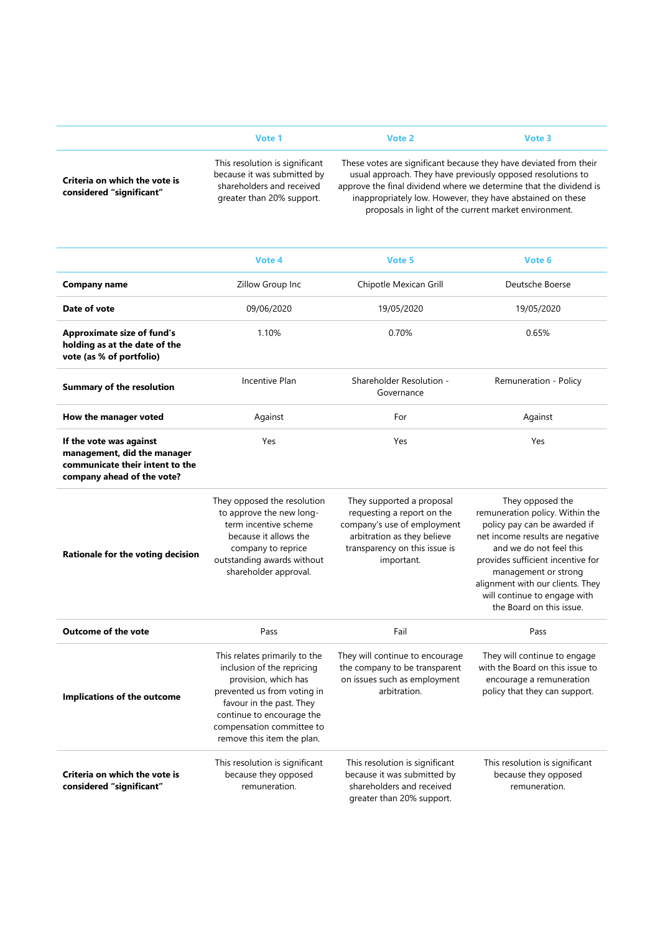|                                                           | Vote 1                                                                                                                  | Vote 2 | Vote 3                                                                                                                                                                                                                                                               |
|-----------------------------------------------------------|-------------------------------------------------------------------------------------------------------------------------|--------|----------------------------------------------------------------------------------------------------------------------------------------------------------------------------------------------------------------------------------------------------------------------|
| Criteria on which the vote is<br>considered "significant" | This resolution is significant<br>because it was submitted by<br>shareholders and received<br>greater than 20% support. |        | These votes are significant because they have deviated from their<br>usual approach. They have previously opposed resolutions to<br>approve the final dividend where we determine that the dividend is<br>inappropriately low. However, they have abstained on these |

inappropriately low. However, they have abstained on these proposals in light of the current market environment.

|                                                                                                                         | Vote 4                                                                                                                                                                                                                                 | Vote 5                                                                                                                                                               | Vote 6                                                                                                                                                                                                                                                                                                         |
|-------------------------------------------------------------------------------------------------------------------------|----------------------------------------------------------------------------------------------------------------------------------------------------------------------------------------------------------------------------------------|----------------------------------------------------------------------------------------------------------------------------------------------------------------------|----------------------------------------------------------------------------------------------------------------------------------------------------------------------------------------------------------------------------------------------------------------------------------------------------------------|
| <b>Company name</b>                                                                                                     | Zillow Group Inc                                                                                                                                                                                                                       | Chipotle Mexican Grill                                                                                                                                               | Deutsche Boerse                                                                                                                                                                                                                                                                                                |
| Date of vote                                                                                                            | 09/06/2020                                                                                                                                                                                                                             | 19/05/2020                                                                                                                                                           | 19/05/2020                                                                                                                                                                                                                                                                                                     |
| <b>Approximate size of fund's</b><br>holding as at the date of the<br>vote (as % of portfolio)                          | 1.10%                                                                                                                                                                                                                                  | 0.70%                                                                                                                                                                | 0.65%                                                                                                                                                                                                                                                                                                          |
| <b>Summary of the resolution</b>                                                                                        | Incentive Plan                                                                                                                                                                                                                         | Shareholder Resolution -<br>Governance                                                                                                                               | Remuneration - Policy                                                                                                                                                                                                                                                                                          |
| How the manager voted                                                                                                   | Against                                                                                                                                                                                                                                | For                                                                                                                                                                  | Against                                                                                                                                                                                                                                                                                                        |
| If the vote was against<br>management, did the manager<br>communicate their intent to the<br>company ahead of the vote? | Yes                                                                                                                                                                                                                                    | Yes                                                                                                                                                                  | Yes                                                                                                                                                                                                                                                                                                            |
| Rationale for the voting decision                                                                                       | They opposed the resolution<br>to approve the new long-<br>term incentive scheme<br>because it allows the<br>company to reprice<br>outstanding awards without<br>shareholder approval.                                                 | They supported a proposal<br>requesting a report on the<br>company's use of employment<br>arbitration as they believe<br>transparency on this issue is<br>important. | They opposed the<br>remuneration policy. Within the<br>policy pay can be awarded if<br>net income results are negative<br>and we do not feel this<br>provides sufficient incentive for<br>management or strong<br>alignment with our clients. They<br>will continue to engage with<br>the Board on this issue. |
| <b>Outcome of the vote</b>                                                                                              | Pass                                                                                                                                                                                                                                   | Fail                                                                                                                                                                 | Pass                                                                                                                                                                                                                                                                                                           |
| Implications of the outcome                                                                                             | This relates primarily to the<br>inclusion of the repricing<br>provision, which has<br>prevented us from voting in<br>favour in the past. They<br>continue to encourage the<br>compensation committee to<br>remove this item the plan. | They will continue to encourage<br>the company to be transparent<br>on issues such as employment<br>arbitration.                                                     | They will continue to engage<br>with the Board on this issue to<br>encourage a remuneration<br>policy that they can support.                                                                                                                                                                                   |
| Criteria on which the vote is<br>considered "significant"                                                               | This resolution is significant<br>because they opposed<br>remuneration.                                                                                                                                                                | This resolution is significant<br>because it was submitted by<br>shareholders and received<br>greater than 20% support.                                              | This resolution is significant<br>because they opposed<br>remuneration.                                                                                                                                                                                                                                        |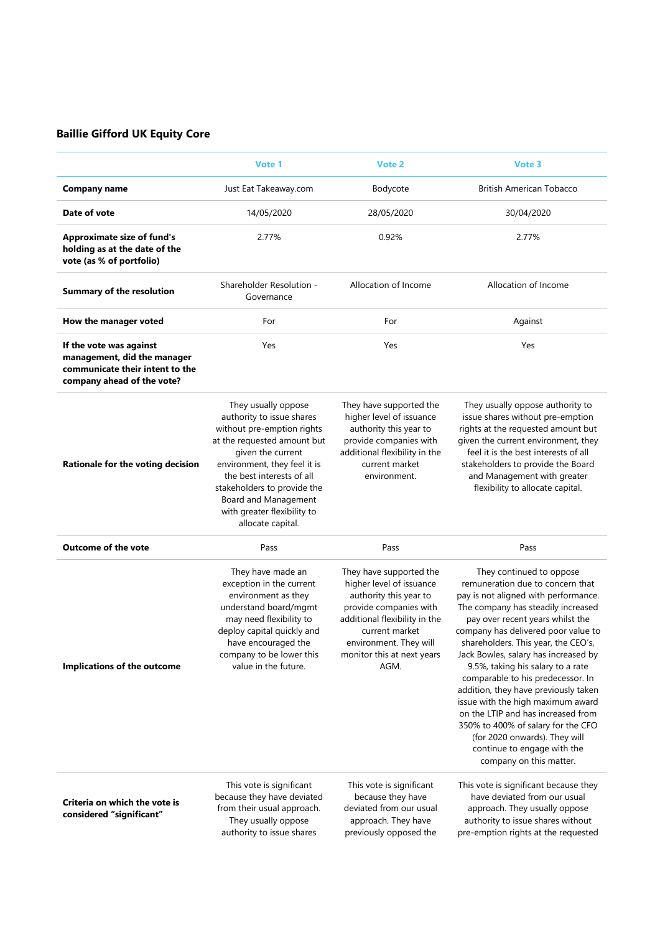### **Baillie Gifford UK Equity Core**

|                                                                                                                         | Vote 1                                                                                                                                                                                                                                                                                                     | Vote 2                                                                                                                                                                                                                     | Vote 3                                                                                                                                                                                                                                                                                                                                                                                                                                                                                                                                                                                                                             |
|-------------------------------------------------------------------------------------------------------------------------|------------------------------------------------------------------------------------------------------------------------------------------------------------------------------------------------------------------------------------------------------------------------------------------------------------|----------------------------------------------------------------------------------------------------------------------------------------------------------------------------------------------------------------------------|------------------------------------------------------------------------------------------------------------------------------------------------------------------------------------------------------------------------------------------------------------------------------------------------------------------------------------------------------------------------------------------------------------------------------------------------------------------------------------------------------------------------------------------------------------------------------------------------------------------------------------|
| <b>Company name</b>                                                                                                     | Just Eat Takeaway.com                                                                                                                                                                                                                                                                                      | Bodycote                                                                                                                                                                                                                   | <b>British American Tobacco</b>                                                                                                                                                                                                                                                                                                                                                                                                                                                                                                                                                                                                    |
| Date of vote                                                                                                            | 14/05/2020                                                                                                                                                                                                                                                                                                 | 28/05/2020                                                                                                                                                                                                                 | 30/04/2020                                                                                                                                                                                                                                                                                                                                                                                                                                                                                                                                                                                                                         |
| <b>Approximate size of fund's</b><br>holding as at the date of the<br>vote (as % of portfolio)                          | 2.77%                                                                                                                                                                                                                                                                                                      | 0.92%                                                                                                                                                                                                                      | 2.77%                                                                                                                                                                                                                                                                                                                                                                                                                                                                                                                                                                                                                              |
| <b>Summary of the resolution</b>                                                                                        | Shareholder Resolution -<br>Governance                                                                                                                                                                                                                                                                     | Allocation of Income                                                                                                                                                                                                       | Allocation of Income                                                                                                                                                                                                                                                                                                                                                                                                                                                                                                                                                                                                               |
| How the manager voted                                                                                                   | For                                                                                                                                                                                                                                                                                                        | For                                                                                                                                                                                                                        | Against                                                                                                                                                                                                                                                                                                                                                                                                                                                                                                                                                                                                                            |
| If the vote was against<br>management, did the manager<br>communicate their intent to the<br>company ahead of the vote? | Yes                                                                                                                                                                                                                                                                                                        | Yes                                                                                                                                                                                                                        | Yes                                                                                                                                                                                                                                                                                                                                                                                                                                                                                                                                                                                                                                |
| Rationale for the voting decision                                                                                       | They usually oppose<br>authority to issue shares<br>without pre-emption rights<br>at the requested amount but<br>given the current<br>environment, they feel it is<br>the best interests of all<br>stakeholders to provide the<br>Board and Management<br>with greater flexibility to<br>allocate capital. | They have supported the<br>higher level of issuance<br>authority this year to<br>provide companies with<br>additional flexibility in the<br>current market<br>environment.                                                 | They usually oppose authority to<br>issue shares without pre-emption<br>rights at the requested amount but<br>given the current environment, they<br>feel it is the best interests of all<br>stakeholders to provide the Board<br>and Management with greater<br>flexibility to allocate capital.                                                                                                                                                                                                                                                                                                                                  |
| <b>Outcome of the vote</b>                                                                                              | Pass                                                                                                                                                                                                                                                                                                       | Pass                                                                                                                                                                                                                       | Pass                                                                                                                                                                                                                                                                                                                                                                                                                                                                                                                                                                                                                               |
| <b>Implications of the outcome</b>                                                                                      | They have made an<br>exception in the current<br>environment as they<br>understand board/mgmt<br>may need flexibility to<br>deploy capital quickly and<br>have encouraged the<br>company to be lower this<br>value in the future.                                                                          | They have supported the<br>higher level of issuance<br>authority this year to<br>provide companies with<br>additional flexibility in the<br>current market<br>environment. They will<br>monitor this at next years<br>AGM. | They continued to oppose<br>remuneration due to concern that<br>pay is not aligned with performance.<br>The company has steadily increased<br>pay over recent years whilst the<br>company has delivered poor value to<br>shareholders. This year, the CEO's,<br>Jack Bowles, salary has increased by<br>9.5%, taking his salary to a rate<br>comparable to his predecessor. In<br>addition, they have previously taken<br>issue with the high maximum award<br>on the LTIP and has increased from<br>350% to 400% of salary for the CFO<br>(for 2020 onwards). They will<br>continue to engage with the<br>company on this matter. |
| Criteria on which the vote is<br>considered "significant"                                                               | This vote is significant<br>because they have deviated<br>from their usual approach.<br>They usually oppose<br>authority to issue shares                                                                                                                                                                   | This vote is significant<br>because they have<br>deviated from our usual<br>approach. They have<br>previously opposed the                                                                                                  | This vote is significant because they<br>have deviated from our usual<br>approach. They usually oppose<br>authority to issue shares without<br>pre-emption rights at the requested                                                                                                                                                                                                                                                                                                                                                                                                                                                 |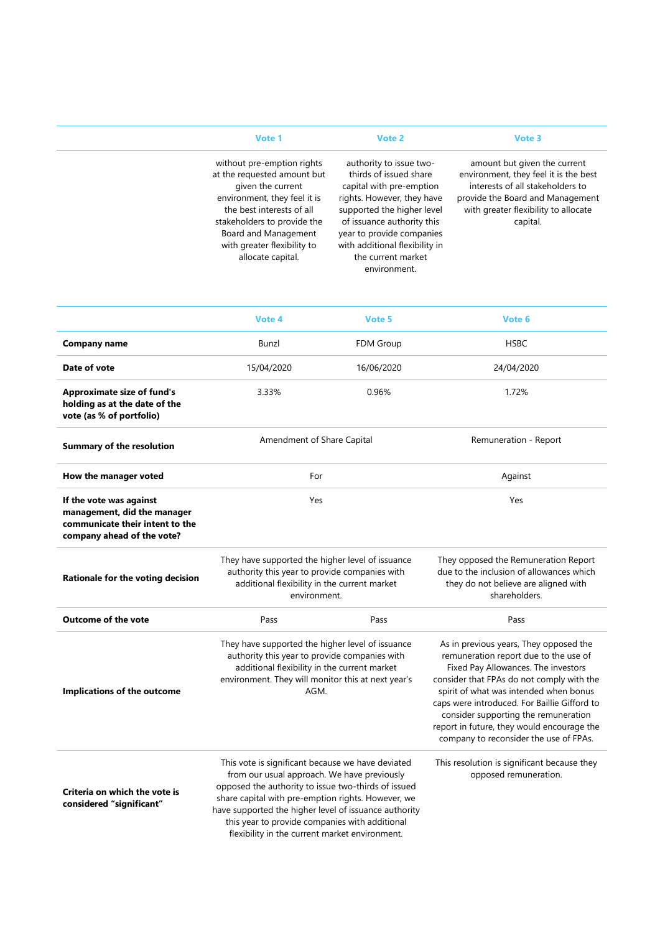|                                                                                                                         | Vote 1                                                                                                                                                                                                                                                 | Vote 2                                                                                                                                                                                                                                                                       | Vote 3                                                                                                                                                                                            |
|-------------------------------------------------------------------------------------------------------------------------|--------------------------------------------------------------------------------------------------------------------------------------------------------------------------------------------------------------------------------------------------------|------------------------------------------------------------------------------------------------------------------------------------------------------------------------------------------------------------------------------------------------------------------------------|---------------------------------------------------------------------------------------------------------------------------------------------------------------------------------------------------|
|                                                                                                                         | without pre-emption rights<br>at the requested amount but<br>given the current<br>environment, they feel it is<br>the best interests of all<br>stakeholders to provide the<br>Board and Management<br>with greater flexibility to<br>allocate capital. | authority to issue two-<br>thirds of issued share<br>capital with pre-emption<br>rights. However, they have<br>supported the higher level<br>of issuance authority this<br>year to provide companies<br>with additional flexibility in<br>the current market<br>environment. | amount but given the current<br>environment, they feel it is the best<br>interests of all stakeholders to<br>provide the Board and Management<br>with greater flexibility to allocate<br>capital. |
|                                                                                                                         | Vote 4                                                                                                                                                                                                                                                 | Vote 5                                                                                                                                                                                                                                                                       | Vote 6                                                                                                                                                                                            |
| <b>Company name</b>                                                                                                     | Bunzl                                                                                                                                                                                                                                                  | FDM Group                                                                                                                                                                                                                                                                    | <b>HSBC</b>                                                                                                                                                                                       |
| Date of vote                                                                                                            | 15/04/2020                                                                                                                                                                                                                                             | 16/06/2020                                                                                                                                                                                                                                                                   | 24/04/2020                                                                                                                                                                                        |
| <b>Approximate size of fund's</b><br>holding as at the date of the<br>vote (as % of portfolio)                          | 3.33%                                                                                                                                                                                                                                                  | 0.96%                                                                                                                                                                                                                                                                        | 1.72%                                                                                                                                                                                             |
| <b>Summary of the resolution</b>                                                                                        | Amendment of Share Capital                                                                                                                                                                                                                             |                                                                                                                                                                                                                                                                              | Remuneration - Report                                                                                                                                                                             |
| How the manager voted                                                                                                   | For                                                                                                                                                                                                                                                    |                                                                                                                                                                                                                                                                              | Against                                                                                                                                                                                           |
| If the vote was against<br>management, did the manager<br>communicate their intent to the<br>company ahead of the vote? | Yes                                                                                                                                                                                                                                                    |                                                                                                                                                                                                                                                                              | Yes                                                                                                                                                                                               |
| Rationale for the voting decision                                                                                       | They have supported the higher level of issuance<br>authority this year to provide companies with<br>additional flexibility in the current market<br>environment.                                                                                      |                                                                                                                                                                                                                                                                              | They opposed the Remuneration Report<br>due to the inclusion of allowances which<br>they do not believe are aligned with<br>shareholders.                                                         |
| <b>Outcome of the vote</b>                                                                                              | Pass                                                                                                                                                                                                                                                   | Pass                                                                                                                                                                                                                                                                         | Pass                                                                                                                                                                                              |
|                                                                                                                         | They have supported the higher level of issuance                                                                                                                                                                                                       |                                                                                                                                                                                                                                                                              | As in previous years, They opposed the                                                                                                                                                            |

**Implications of the outcome**

**Criteria on which the vote is considered "significant"** 

This vote is significant because we have deviated from our usual approach. We have previously opposed the authority to issue two-thirds of issued share capital with pre-emption rights. However, we have supported the higher level of issuance authority this year to provide companies with additional flexibility in the current market environment.

authority this year to provide companies with additional flexibility in the current market environment. They will monitor this at next year's AGM.

remuneration report due to the use of Fixed Pay Allowances. The investors consider that FPAs do not comply with the spirit of what was intended when bonus caps were introduced. For Baillie Gifford to consider supporting the remuneration report in future, they would encourage the company to reconsider the use of FPAs.

This resolution is significant because they opposed remuneration.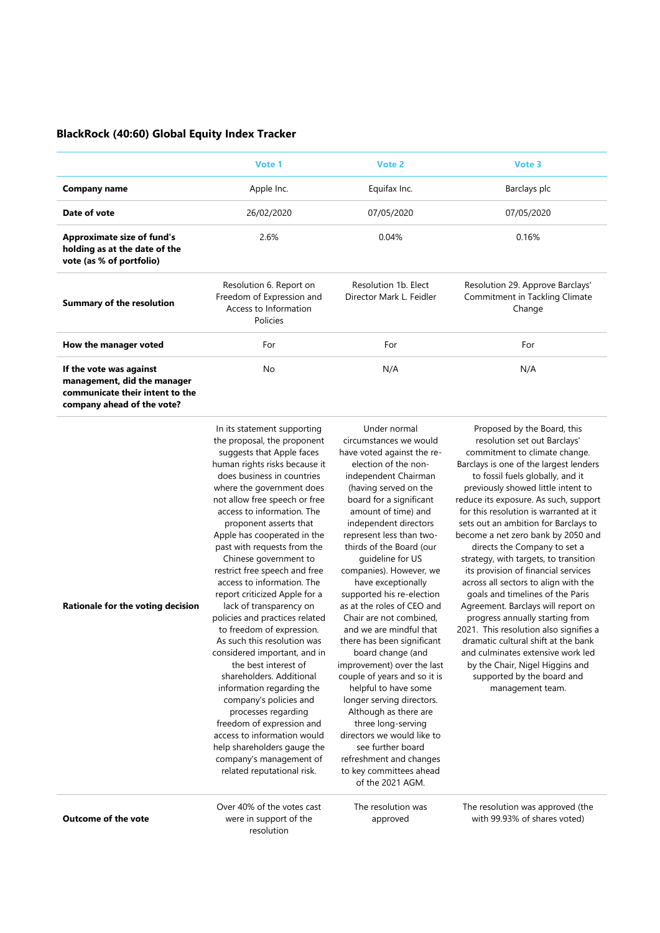#### **BlackRock (40:60) Global Equity Index Tracker**

|                                                                                                                         | Vote 1                                                                                    | Vote 2                                           | Vote 3                                                                       |
|-------------------------------------------------------------------------------------------------------------------------|-------------------------------------------------------------------------------------------|--------------------------------------------------|------------------------------------------------------------------------------|
| Company name                                                                                                            | Apple Inc.                                                                                | Equifax Inc.                                     | Barclays plc                                                                 |
| Date of vote                                                                                                            | 26/02/2020                                                                                | 07/05/2020                                       | 07/05/2020                                                                   |
| <b>Approximate size of fund's</b><br>holding as at the date of the<br>vote (as % of portfolio)                          | 2.6%                                                                                      | 0.04%                                            | 0.16%                                                                        |
| <b>Summary of the resolution</b>                                                                                        | Resolution 6. Report on<br>Freedom of Expression and<br>Access to Information<br>Policies | Resolution 1b. Elect<br>Director Mark L. Feidler | Resolution 29. Approve Barclays'<br>Commitment in Tackling Climate<br>Change |
| How the manager voted                                                                                                   | For                                                                                       | For                                              | For                                                                          |
| If the vote was against<br>management, did the manager<br>communicate their intent to the<br>company ahead of the vote? | No                                                                                        | N/A                                              | N/A                                                                          |

In its statement supporting the proposal, the proponent suggests that Apple faces human rights risks because it does business in countries where the government does not allow free speech or free access to information. The proponent asserts that Apple has cooperated in the past with requests from the Chinese government to restrict free speech and free access to information. The report criticized Apple for a lack of transparency on policies and practices related to freedom of expression. As such this resolution was considered important, and in the best interest of shareholders. Additional information regarding the company's policies and processes regarding freedom of expression and access to information would help shareholders gauge the company's management of related reputational risk.

Under normal circumstances we would have voted against the reelection of the nonindependent Chairman (having served on the board for a significant amount of time) and independent directors represent less than twothirds of the Board (our guideline for US companies). However, we have exceptionally supported his re-election as at the roles of CEO and Chair are not combined, and we are mindful that there has been significant board change (and improvement) over the last couple of years and so it is helpful to have some longer serving directors. Although as there are three long-serving directors we would like to see further board refreshment and changes to key committees ahead of the 2021 AGM.

Proposed by the Board, this resolution set out Barclays' commitment to climate change. Barclays is one of the largest lenders to fossil fuels globally, and it previously showed little intent to reduce its exposure. As such, support for this resolution is warranted at it sets out an ambition for Barclays to become a net zero bank by 2050 and directs the Company to set a strategy, with targets, to transition its provision of financial services across all sectors to align with the goals and timelines of the Paris Agreement. Barclays will report on progress annually starting from 2021. This resolution also signifies a dramatic cultural shift at the bank and culminates extensive work led by the Chair, Nigel Higgins and supported by the board and management team.

**Outcome of the vote**

**Rationale for the voting decision**

Over 40% of the votes cast were in support of the resolution

The resolution was approved

The resolution was approved (the with 99.93% of shares voted)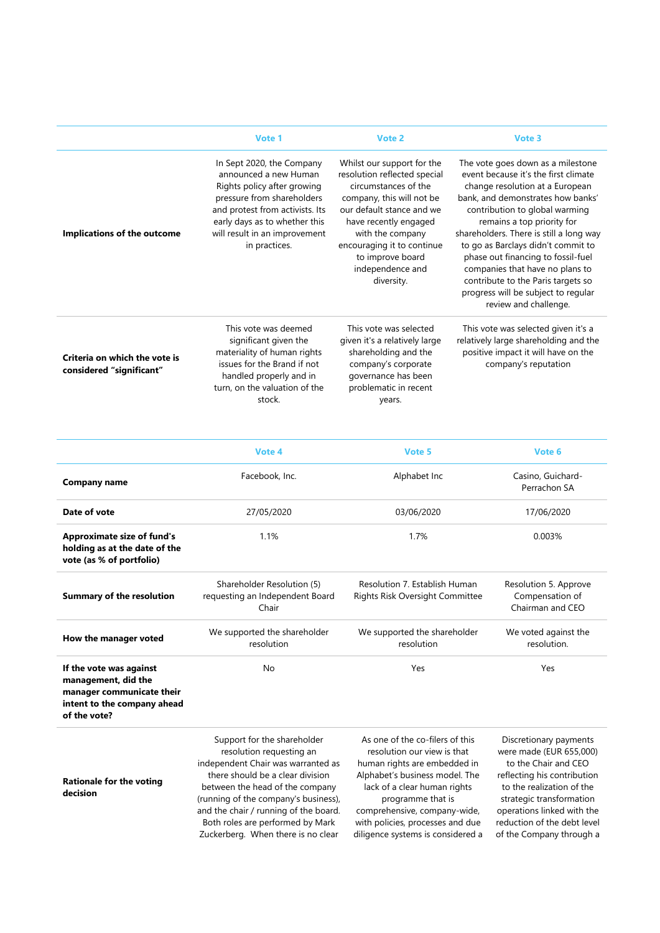|                                                           | Vote 1                                                                                                                                                                                                                                | Vote 2                                                                                                                                                                                                                                                                        | Vote 3                                                                                                                                                                                                                                                                                                                                                                                                                                                                            |
|-----------------------------------------------------------|---------------------------------------------------------------------------------------------------------------------------------------------------------------------------------------------------------------------------------------|-------------------------------------------------------------------------------------------------------------------------------------------------------------------------------------------------------------------------------------------------------------------------------|-----------------------------------------------------------------------------------------------------------------------------------------------------------------------------------------------------------------------------------------------------------------------------------------------------------------------------------------------------------------------------------------------------------------------------------------------------------------------------------|
| Implications of the outcome                               | In Sept 2020, the Company<br>announced a new Human<br>Rights policy after growing<br>pressure from shareholders<br>and protest from activists. Its<br>early days as to whether this<br>will result in an improvement<br>in practices. | Whilst our support for the<br>resolution reflected special<br>circumstances of the<br>company, this will not be<br>our default stance and we<br>have recently engaged<br>with the company<br>encouraging it to continue<br>to improve board<br>independence and<br>diversity. | The vote goes down as a milestone<br>event because it's the first climate<br>change resolution at a European<br>bank, and demonstrates how banks'<br>contribution to global warming<br>remains a top priority for<br>shareholders. There is still a long way<br>to go as Barclays didn't commit to<br>phase out financing to fossil-fuel<br>companies that have no plans to<br>contribute to the Paris targets so<br>progress will be subject to regular<br>review and challenge. |
| Criteria on which the vote is<br>considered "significant" | This vote was deemed<br>significant given the<br>materiality of human rights<br>issues for the Brand if not<br>handled properly and in<br>turn, on the valuation of the<br>stock.                                                     | This vote was selected<br>given it's a relatively large<br>shareholding and the<br>company's corporate<br>governance has been<br>problematic in recent<br>years.                                                                                                              | This vote was selected given it's a<br>relatively large shareholding and the<br>positive impact it will have on the<br>company's reputation                                                                                                                                                                                                                                                                                                                                       |

|                                                                                                                            | Vote 4                                                                 | Vote 5                                                                  | Vote 6                                                       |
|----------------------------------------------------------------------------------------------------------------------------|------------------------------------------------------------------------|-------------------------------------------------------------------------|--------------------------------------------------------------|
| <b>Company name</b>                                                                                                        | Facebook, Inc.                                                         | Alphabet Inc                                                            | Casino, Guichard-<br>Perrachon SA                            |
| Date of vote                                                                                                               | 27/05/2020                                                             | 03/06/2020                                                              | 17/06/2020                                                   |
| <b>Approximate size of fund's</b><br>holding as at the date of the<br>vote (as % of portfolio)                             | 1.1%                                                                   | 1.7%                                                                    | 0.003%                                                       |
| <b>Summary of the resolution</b>                                                                                           | Shareholder Resolution (5)<br>requesting an Independent Board<br>Chair | Resolution 7. Establish Human<br><b>Rights Risk Oversight Committee</b> | Resolution 5. Approve<br>Compensation of<br>Chairman and CEO |
| How the manager voted                                                                                                      | We supported the shareholder<br>resolution                             | We supported the shareholder<br>resolution                              | We voted against the<br>resolution.                          |
| If the vote was against<br>management, did the<br>manager communicate their<br>intent to the company ahead<br>of the vote? | No                                                                     | Yes                                                                     | Yes                                                          |
|                                                                                                                            |                                                                        |                                                                         |                                                              |

**Rationale for the voting decision**

Support for the shareholder resolution requesting an independent Chair was warranted as there should be a clear division between the head of the company (running of the company's business), and the chair / running of the board. Both roles are performed by Mark Zuckerberg. When there is no clear

As one of the co-filers of this resolution our view is that human rights are embedded in Alphabet's business model. The lack of a clear human rights programme that is comprehensive, company-wide, with policies, processes and due diligence systems is considered a

Discretionary payments were made (EUR 655,000) to the Chair and CEO reflecting his contribution to the realization of the strategic transformation operations linked with the reduction of the debt level of the Company through a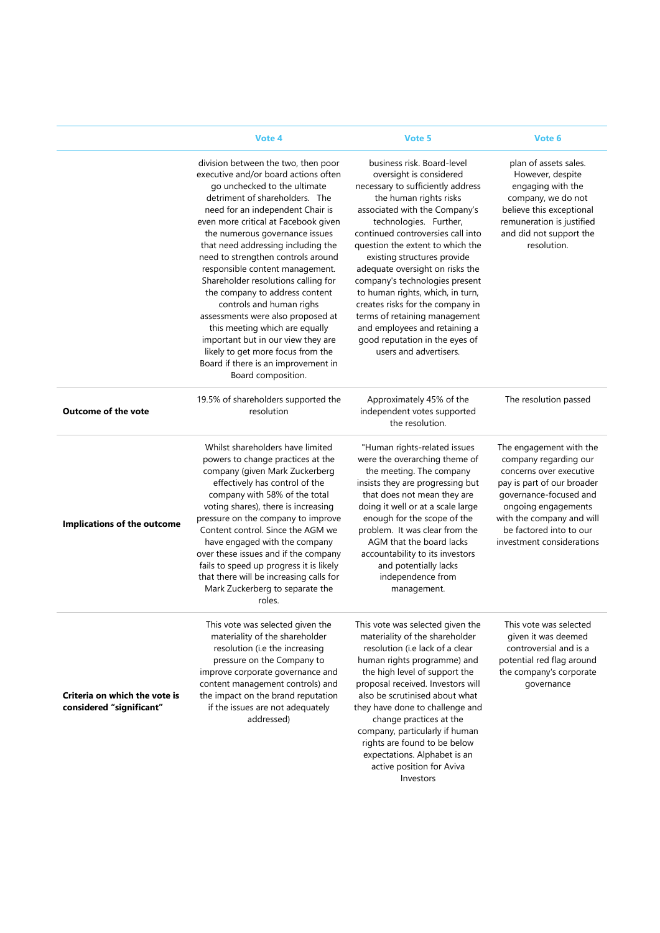|                                                           | Vote 4                                                                                                                                                                                                                                                                                                                                                                                                                                                                                                                                                                                                                                                                                         | Vote 5                                                                                                                                                                                                                                                                                                                                                                                                                                                                                                                                                             | Vote 6                                                                                                                                                                                                                                          |
|-----------------------------------------------------------|------------------------------------------------------------------------------------------------------------------------------------------------------------------------------------------------------------------------------------------------------------------------------------------------------------------------------------------------------------------------------------------------------------------------------------------------------------------------------------------------------------------------------------------------------------------------------------------------------------------------------------------------------------------------------------------------|--------------------------------------------------------------------------------------------------------------------------------------------------------------------------------------------------------------------------------------------------------------------------------------------------------------------------------------------------------------------------------------------------------------------------------------------------------------------------------------------------------------------------------------------------------------------|-------------------------------------------------------------------------------------------------------------------------------------------------------------------------------------------------------------------------------------------------|
|                                                           | division between the two, then poor<br>executive and/or board actions often<br>go unchecked to the ultimate<br>detriment of shareholders. The<br>need for an independent Chair is<br>even more critical at Facebook given<br>the numerous governance issues<br>that need addressing including the<br>need to strengthen controls around<br>responsible content management.<br>Shareholder resolutions calling for<br>the company to address content<br>controls and human righs<br>assessments were also proposed at<br>this meeting which are equally<br>important but in our view they are<br>likely to get more focus from the<br>Board if there is an improvement in<br>Board composition. | business risk. Board-level<br>oversight is considered<br>necessary to sufficiently address<br>the human rights risks<br>associated with the Company's<br>technologies. Further,<br>continued controversies call into<br>question the extent to which the<br>existing structures provide<br>adequate oversight on risks the<br>company's technologies present<br>to human rights, which, in turn,<br>creates risks for the company in<br>terms of retaining management<br>and employees and retaining a<br>good reputation in the eyes of<br>users and advertisers. | plan of assets sales.<br>However, despite<br>engaging with the<br>company, we do not<br>believe this exceptional<br>remuneration is justified<br>and did not support the<br>resolution.                                                         |
| <b>Outcome of the vote</b>                                | 19.5% of shareholders supported the<br>resolution                                                                                                                                                                                                                                                                                                                                                                                                                                                                                                                                                                                                                                              | Approximately 45% of the<br>independent votes supported<br>the resolution.                                                                                                                                                                                                                                                                                                                                                                                                                                                                                         | The resolution passed                                                                                                                                                                                                                           |
| Implications of the outcome                               | Whilst shareholders have limited<br>powers to change practices at the<br>company (given Mark Zuckerberg<br>effectively has control of the<br>company with 58% of the total<br>voting shares), there is increasing<br>pressure on the company to improve<br>Content control. Since the AGM we<br>have engaged with the company<br>over these issues and if the company<br>fails to speed up progress it is likely<br>that there will be increasing calls for<br>Mark Zuckerberg to separate the<br>roles.                                                                                                                                                                                       | "Human rights-related issues<br>were the overarching theme of<br>the meeting. The company<br>insists they are progressing but<br>that does not mean they are<br>doing it well or at a scale large<br>enough for the scope of the<br>problem. It was clear from the<br>AGM that the board lacks<br>accountability to its investors<br>and potentially lacks<br>independence from<br>management.                                                                                                                                                                     | The engagement with the<br>company regarding our<br>concerns over executive<br>pay is part of our broader<br>governance-focused and<br>ongoing engagements<br>with the company and will<br>be factored into to our<br>investment considerations |
| Criteria on which the vote is<br>considered "significant" | This vote was selected given the<br>materiality of the shareholder<br>resolution (i.e the increasing<br>pressure on the Company to<br>improve corporate governance and<br>content management controls) and<br>the impact on the brand reputation<br>if the issues are not adequately<br>addressed)                                                                                                                                                                                                                                                                                                                                                                                             | This vote was selected given the<br>materiality of the shareholder<br>resolution (i.e lack of a clear<br>human rights programme) and<br>the high level of support the<br>proposal received. Investors will<br>also be scrutinised about what<br>they have done to challenge and<br>change practices at the<br>company, particularly if human<br>rights are found to be below<br>expectations. Alphabet is an<br>active position for Aviva<br>Investors                                                                                                             | This vote was selected<br>given it was deemed<br>controversial and is a<br>potential red flag around<br>the company's corporate<br>governance                                                                                                   |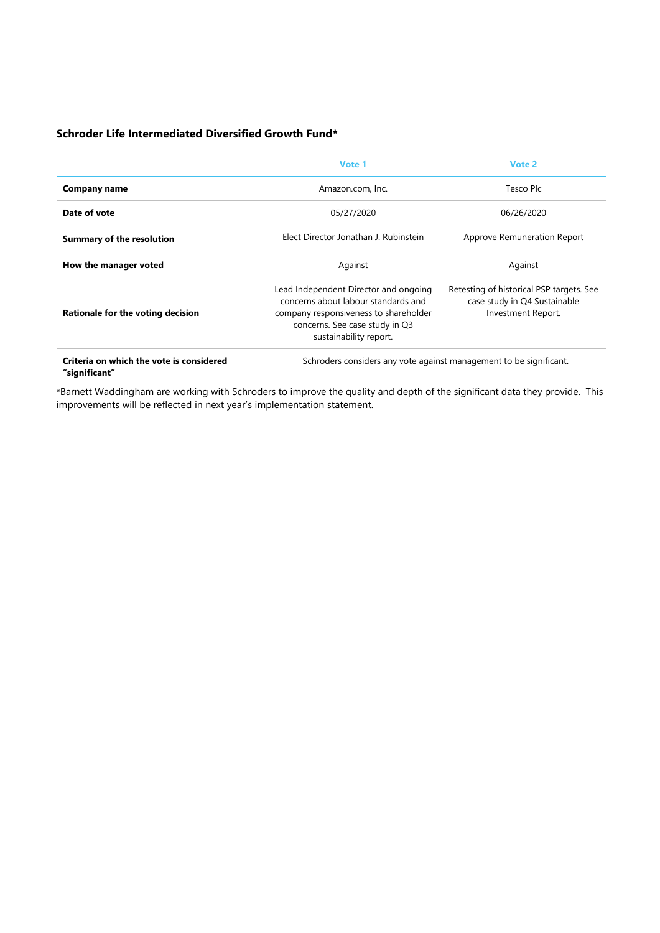#### **Schroder Life Intermediated Diversified Growth Fund\***

|                                          | Vote 1                                                                                                                                                                            | Vote 2                                                                                         |  |
|------------------------------------------|-----------------------------------------------------------------------------------------------------------------------------------------------------------------------------------|------------------------------------------------------------------------------------------------|--|
| Company name                             | Amazon.com, Inc.                                                                                                                                                                  | Tesco Plc                                                                                      |  |
| Date of vote                             | 05/27/2020                                                                                                                                                                        | 06/26/2020                                                                                     |  |
| <b>Summary of the resolution</b>         | Elect Director Jonathan J. Rubinstein                                                                                                                                             | Approve Remuneration Report                                                                    |  |
| How the manager voted                    | Against                                                                                                                                                                           | Against                                                                                        |  |
| Rationale for the voting decision        | Lead Independent Director and ongoing<br>concerns about labour standards and<br>company responsiveness to shareholder<br>concerns. See case study in Q3<br>sustainability report. | Retesting of historical PSP targets. See<br>case study in Q4 Sustainable<br>Investment Report. |  |
| Criteria on which the vote is considered | Schroders considers any vote against management to be significant.                                                                                                                |                                                                                                |  |

**"significant"** 

Schroders considers any vote against management to be significant.

\*Barnett Waddingham are working with Schroders to improve the quality and depth of the significant data they provide. This improvements will be reflected in next year's implementation statement.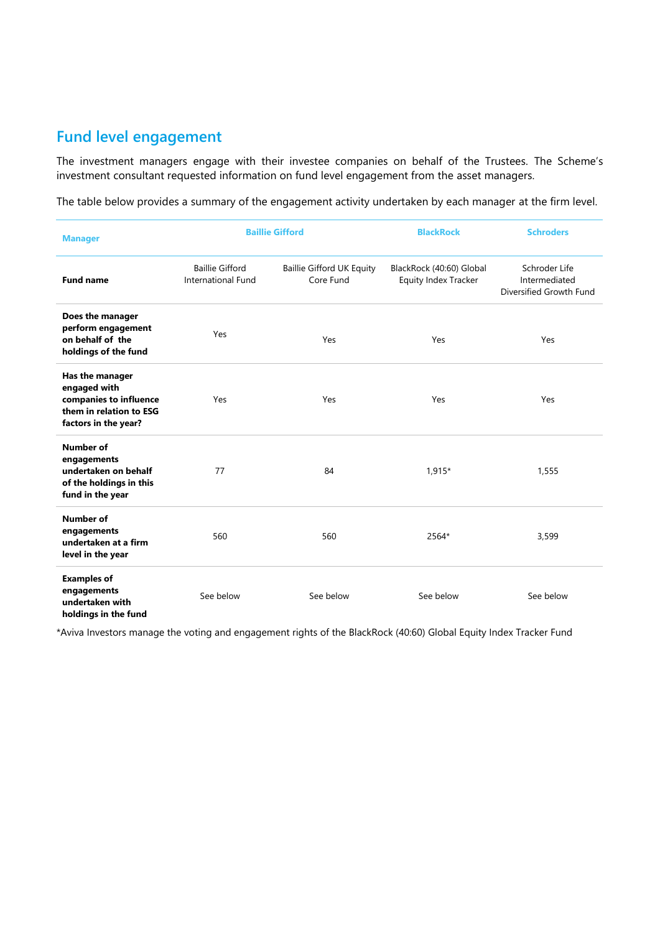## **Fund level engagement**

The investment managers engage with their investee companies on behalf of the Trustees. The Scheme's investment consultant requested information on fund level engagement from the asset managers.

The table below provides a summary of the engagement activity undertaken by each manager at the firm level.

| <b>Manager</b>                                                                                               | <b>Baillie Gifford</b>                       |                                               | <b>BlackRock</b>                                 | <b>Schroders</b>                                          |
|--------------------------------------------------------------------------------------------------------------|----------------------------------------------|-----------------------------------------------|--------------------------------------------------|-----------------------------------------------------------|
| <b>Fund name</b>                                                                                             | <b>Baillie Gifford</b><br>International Fund | <b>Baillie Gifford UK Equity</b><br>Core Fund | BlackRock (40:60) Global<br>Equity Index Tracker | Schroder Life<br>Intermediated<br>Diversified Growth Fund |
| Does the manager<br>perform engagement<br>on behalf of the<br>holdings of the fund                           | Yes                                          | Yes                                           | Yes                                              | Yes                                                       |
| Has the manager<br>engaged with<br>companies to influence<br>them in relation to ESG<br>factors in the year? | Yes                                          | Yes                                           | Yes                                              | Yes                                                       |
| <b>Number of</b><br>engagements<br>undertaken on behalf<br>of the holdings in this<br>fund in the year       | 77                                           | 84                                            | 1,915*                                           | 1,555                                                     |
| <b>Number of</b><br>engagements<br>undertaken at a firm<br>level in the year                                 | 560                                          | 560                                           | 2564*                                            | 3,599                                                     |
| <b>Examples of</b><br>engagements<br>undertaken with<br>holdinas in the fund                                 | See below                                    | See below                                     | See below                                        | See below                                                 |

\*Aviva Investors manage the voting and engagement rights of the BlackRock (40:60) Global Equity Index Tracker Fund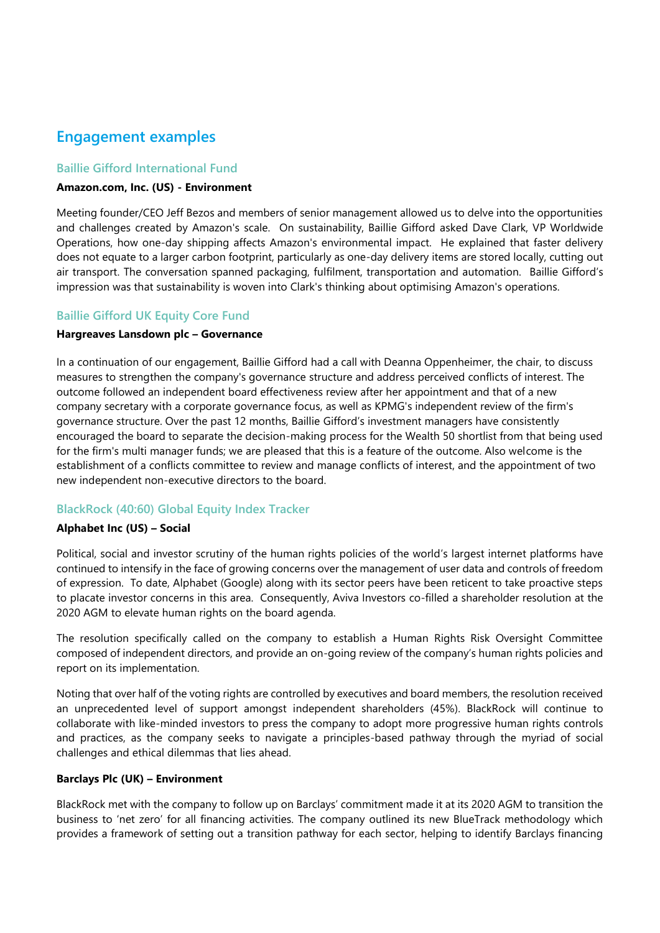## **Engagement examples**

#### **Baillie Gifford International Fund**

#### **Amazon.com, Inc. (US) - Environment**

Meeting founder/CEO Jeff Bezos and members of senior management allowed us to delve into the opportunities and challenges created by Amazon's scale. On sustainability, Baillie Gifford asked Dave Clark, VP Worldwide Operations, how one-day shipping affects Amazon's environmental impact. He explained that faster delivery does not equate to a larger carbon footprint, particularly as one-day delivery items are stored locally, cutting out air transport. The conversation spanned packaging, fulfilment, transportation and automation. Baillie Gifford's impression was that sustainability is woven into Clark's thinking about optimising Amazon's operations.

#### **Baillie Gifford UK Equity Core Fund**

#### **Hargreaves Lansdown plc – Governance**

In a continuation of our engagement, Baillie Gifford had a call with Deanna Oppenheimer, the chair, to discuss measures to strengthen the company's governance structure and address perceived conflicts of interest. The outcome followed an independent board effectiveness review after her appointment and that of a new company secretary with a corporate governance focus, as well as KPMG's independent review of the firm's governance structure. Over the past 12 months, Baillie Gifford's investment managers have consistently encouraged the board to separate the decision-making process for the Wealth 50 shortlist from that being used for the firm's multi manager funds; we are pleased that this is a feature of the outcome. Also welcome is the establishment of a conflicts committee to review and manage conflicts of interest, and the appointment of two new independent non-executive directors to the board.

#### **BlackRock (40:60) Global Equity Index Tracker**

#### **Alphabet Inc (US) – Social**

Political, social and investor scrutiny of the human rights policies of the world's largest internet platforms have continued to intensify in the face of growing concerns over the management of user data and controls of freedom of expression. To date, Alphabet (Google) along with its sector peers have been reticent to take proactive steps to placate investor concerns in this area. Consequently, Aviva Investors co-filled a shareholder resolution at the 2020 AGM to elevate human rights on the board agenda.

The resolution specifically called on the company to establish a Human Rights Risk Oversight Committee composed of independent directors, and provide an on-going review of the company's human rights policies and report on its implementation.

Noting that over half of the voting rights are controlled by executives and board members, the resolution received an unprecedented level of support amongst independent shareholders (45%). BlackRock will continue to collaborate with like-minded investors to press the company to adopt more progressive human rights controls and practices, as the company seeks to navigate a principles-based pathway through the myriad of social challenges and ethical dilemmas that lies ahead.

#### **Barclays Plc (UK) – Environment**

BlackRock met with the company to follow up on Barclays' commitment made it at its 2020 AGM to transition the business to 'net zero' for all financing activities. The company outlined its new BlueTrack methodology which provides a framework of setting out a transition pathway for each sector, helping to identify Barclays financing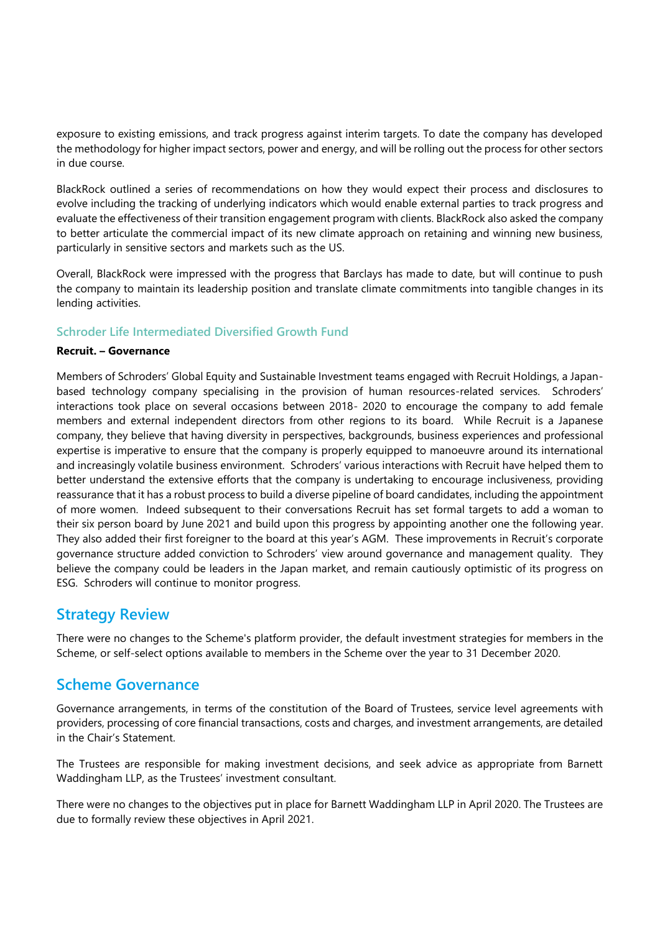exposure to existing emissions, and track progress against interim targets. To date the company has developed the methodology for higher impact sectors, power and energy, and will be rolling out the process for other sectors in due course.

BlackRock outlined a series of recommendations on how they would expect their process and disclosures to evolve including the tracking of underlying indicators which would enable external parties to track progress and evaluate the effectiveness of their transition engagement program with clients. BlackRock also asked the company to better articulate the commercial impact of its new climate approach on retaining and winning new business, particularly in sensitive sectors and markets such as the US.

Overall, BlackRock were impressed with the progress that Barclays has made to date, but will continue to push the company to maintain its leadership position and translate climate commitments into tangible changes in its lending activities.

#### **Schroder Life Intermediated Diversified Growth Fund**

#### **Recruit. – Governance**

Members of Schroders' Global Equity and Sustainable Investment teams engaged with Recruit Holdings, a Japanbased technology company specialising in the provision of human resources-related services. Schroders' interactions took place on several occasions between 2018- 2020 to encourage the company to add female members and external independent directors from other regions to its board. While Recruit is a Japanese company, they believe that having diversity in perspectives, backgrounds, business experiences and professional expertise is imperative to ensure that the company is properly equipped to manoeuvre around its international and increasingly volatile business environment. Schroders' various interactions with Recruit have helped them to better understand the extensive efforts that the company is undertaking to encourage inclusiveness, providing reassurance that it has a robust process to build a diverse pipeline of board candidates, including the appointment of more women. Indeed subsequent to their conversations Recruit has set formal targets to add a woman to their six person board by June 2021 and build upon this progress by appointing another one the following year. They also added their first foreigner to the board at this year's AGM. These improvements in Recruit's corporate governance structure added conviction to Schroders' view around governance and management quality. They believe the company could be leaders in the Japan market, and remain cautiously optimistic of its progress on ESG. Schroders will continue to monitor progress.

### **Strategy Review**

There were no changes to the Scheme's platform provider, the default investment strategies for members in the Scheme, or self-select options available to members in the Scheme over the year to 31 December 2020.

## **Scheme Governance**

Governance arrangements, in terms of the constitution of the Board of Trustees, service level agreements with providers, processing of core financial transactions, costs and charges, and investment arrangements, are detailed in the Chair's Statement.

The Trustees are responsible for making investment decisions, and seek advice as appropriate from Barnett Waddingham LLP, as the Trustees' investment consultant.

There were no changes to the objectives put in place for Barnett Waddingham LLP in April 2020. The Trustees are due to formally review these objectives in April 2021.